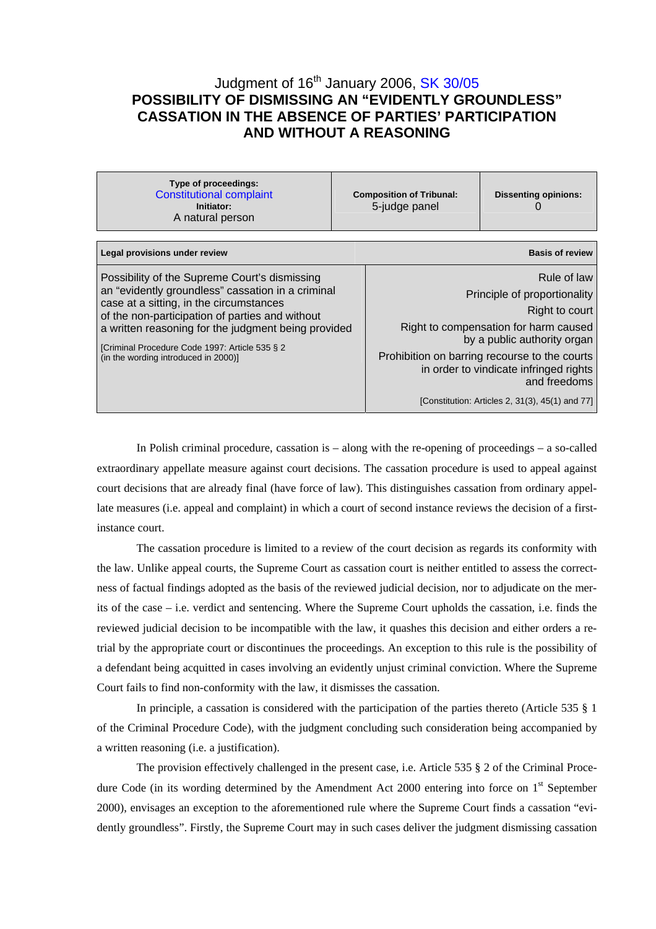# Judgment of 16<sup>th</sup> January 2006, [SK 30/05](http://www.trybunal.gov.pl/OTK/otk_odp.asp?sygnatura=SK%2030/05) **POSSIBILITY OF DISMISSING AN "EVIDENTLY GROUNDLESS" CASSATION IN THE ABSENCE OF PARTIES' PARTICIPATION AND WITHOUT A REASONING**

| Type of proceedings:<br><b>Constitutional complaint</b><br>Initiator:<br>A natural person                                                                                                                                                                                                                                                         |  | <b>Composition of Tribunal:</b><br>5-judge panel                                                                                                                                                                                                 | <b>Dissenting opinions:</b> |
|---------------------------------------------------------------------------------------------------------------------------------------------------------------------------------------------------------------------------------------------------------------------------------------------------------------------------------------------------|--|--------------------------------------------------------------------------------------------------------------------------------------------------------------------------------------------------------------------------------------------------|-----------------------------|
|                                                                                                                                                                                                                                                                                                                                                   |  |                                                                                                                                                                                                                                                  |                             |
| <b>Basis of review</b><br>Legal provisions under review                                                                                                                                                                                                                                                                                           |  |                                                                                                                                                                                                                                                  |                             |
| Possibility of the Supreme Court's dismissing<br>an "evidently groundless" cassation in a criminal<br>case at a sitting, in the circumstances<br>of the non-participation of parties and without<br>a written reasoning for the judgment being provided<br>[Criminal Procedure Code 1997: Article 535 § 2<br>(in the wording introduced in 2000)] |  | Rule of law<br>Principle of proportionality<br>Right to court<br>Right to compensation for harm caused<br>by a public authority organ<br>Prohibition on barring recourse to the courts<br>in order to vindicate infringed rights<br>and freedoms |                             |
|                                                                                                                                                                                                                                                                                                                                                   |  | [Constitution: Articles 2, 31(3), 45(1) and 77]                                                                                                                                                                                                  |                             |

In Polish criminal procedure, cassation is – along with the re-opening of proceedings – a so-called extraordinary appellate measure against court decisions. The cassation procedure is used to appeal against court decisions that are already final (have force of law). This distinguishes cassation from ordinary appellate measures (i.e. appeal and complaint) in which a court of second instance reviews the decision of a firstinstance court.

The cassation procedure is limited to a review of the court decision as regards its conformity with the law. Unlike appeal courts, the Supreme Court as cassation court is neither entitled to assess the correctness of factual findings adopted as the basis of the reviewed judicial decision, nor to adjudicate on the merits of the case – i.e. verdict and sentencing. Where the Supreme Court upholds the cassation, i.e. finds the reviewed judicial decision to be incompatible with the law, it quashes this decision and either orders a retrial by the appropriate court or discontinues the proceedings. An exception to this rule is the possibility of a defendant being acquitted in cases involving an evidently unjust criminal conviction. Where the Supreme Court fails to find non-conformity with the law, it dismisses the cassation.

In principle, a cassation is considered with the participation of the parties thereto (Article 535 § 1 of the Criminal Procedure Code), with the judgment concluding such consideration being accompanied by a written reasoning (i.e. a justification).

The provision effectively challenged in the present case, i.e. Article 535 § 2 of the Criminal Procedure Code (in its wording determined by the Amendment Act 2000 entering into force on 1<sup>st</sup> September 2000), envisages an exception to the aforementioned rule where the Supreme Court finds a cassation "evidently groundless". Firstly, the Supreme Court may in such cases deliver the judgment dismissing cassation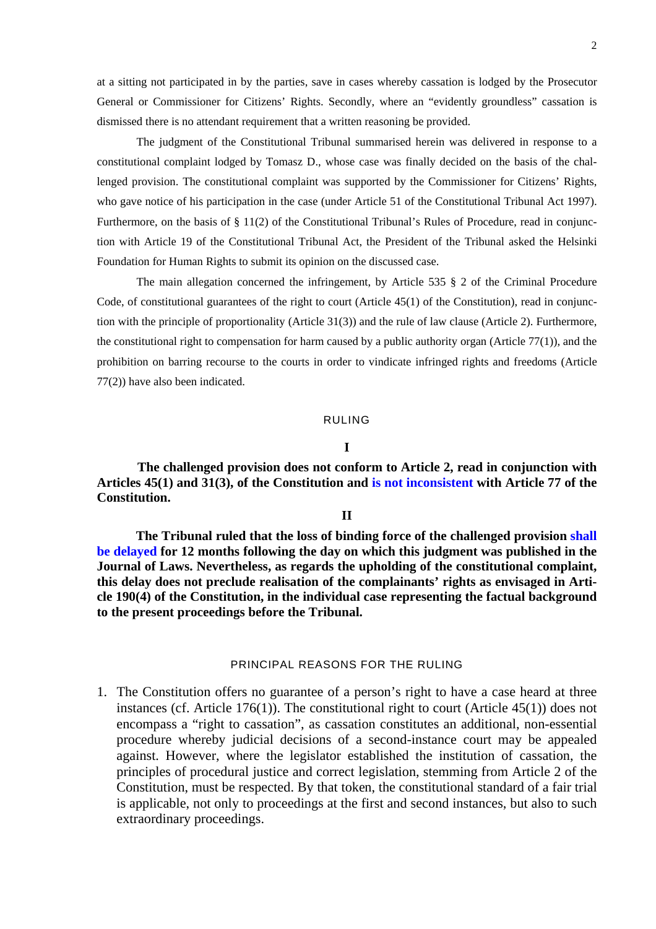at a sitting not participated in by the parties, save in cases whereby cassation is lodged by the Prosecutor General or Commissioner for Citizens' Rights. Secondly, where an "evidently groundless" cassation is dismissed there is no attendant requirement that a written reasoning be provided.

The judgment of the Constitutional Tribunal summarised herein was delivered in response to a constitutional complaint lodged by Tomasz D., whose case was finally decided on the basis of the challenged provision. The constitutional complaint was supported by the Commissioner for Citizens' Rights, who gave notice of his participation in the case (under Article 51 of the Constitutional Tribunal Act 1997). Furthermore, on the basis of § 11(2) of the Constitutional Tribunal's Rules of Procedure, read in conjunction with Article 19 of the Constitutional Tribunal Act, the President of the Tribunal asked the Helsinki Foundation for Human Rights to submit its opinion on the discussed case.

The main allegation concerned the infringement, by Article 535 § 2 of the Criminal Procedure Code, of constitutional guarantees of the right to court (Article 45(1) of the Constitution), read in conjunction with the principle of proportionality (Article 31(3)) and the rule of law clause (Article 2). Furthermore, the constitutional right to compensation for harm caused by a public authority organ (Article 77(1)), and the prohibition on barring recourse to the courts in order to vindicate infringed rights and freedoms (Article 77(2)) have also been indicated.

## RULING

# **I**

**The challenged provision does not conform to Article 2, read in conjunction with Articles 45(1) and 31(3), of the Constitution and [is not inconsistent](http://www.trybunal.gov.pl/eng/summaries/summaries_assets/slowniczek_not_inconsistent_gb.htm) with Article 77 of the Constitution.** 

## **II**

**The Tribunal ruled that the loss of binding force of the challenged provision [shall](http://www.trybunal.gov.pl/eng/summaries/summaries_assets/przypis_moc_gb.htm)  [be delayed](http://www.trybunal.gov.pl/eng/summaries/summaries_assets/przypis_moc_gb.htm) for 12 months following the day on which this judgment was published in the Journal of Laws. Nevertheless, as regards the upholding of the constitutional complaint, this delay does not preclude realisation of the complainants' rights as envisaged in Article 190(4) of the Constitution, in the individual case representing the factual background to the present proceedings before the Tribunal.** 

## [PRINCIPAL REASONS FOR THE RULING](http://www.trybunal.gov.pl/eng/summaries/summaries_assets/przypis_moc_gb.htm)

1. The Constitution offers no guarantee of a person's right to have a case heard at three instances (cf. Article 176(1)). The constitutional right to court (Article 45(1)) does not encompass a "right to cassation", as cassation constitutes an additional, non-essential procedure whereby judicial decisions of a second-instance court may be appealed against. However, where the legislator established the institution of cassation, the principles of procedural justice and correct legislation, stemming from Article 2 of the Constitution, must be respected. By that token, the constitutional standard of a fair trial is applicable, not only to proceedings at the first and second instances, but also to such extraordinary proceedings.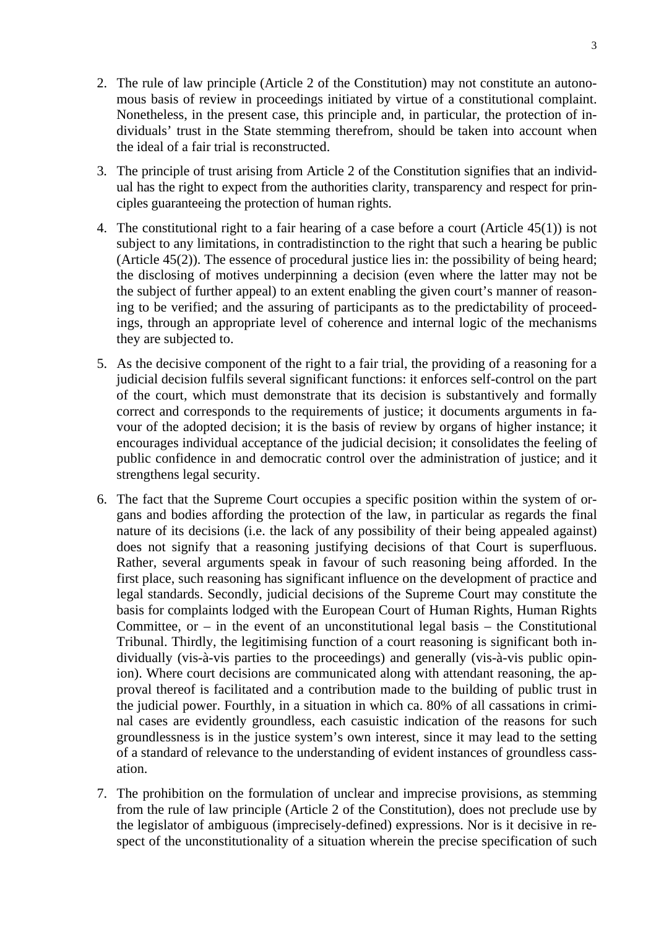- 2. The rule of law principle (Article 2 of the Constitution) may not constitute an autonomous basis of review in proceedings initiated by virtue of a constitutional complaint. Nonetheless, in the present case, this principle and, in particular, the protection of individuals' trust in the State stemming therefrom, should be taken into account when the ideal of a fair trial is reconstructed.
- 3. The principle of trust arising from Article 2 of the Constitution signifies that an individual has the right to expect from the authorities clarity, transparency and respect for principles guaranteeing the protection of human rights.
- 4. The constitutional right to a fair hearing of a case before a court (Article 45(1)) is not subject to any limitations, in contradistinction to the right that such a hearing be public (Article 45(2)). The essence of procedural justice lies in: the possibility of being heard; the disclosing of motives underpinning a decision (even where the latter may not be the subject of further appeal) to an extent enabling the given court's manner of reasoning to be verified; and the assuring of participants as to the predictability of proceedings, through an appropriate level of coherence and internal logic of the mechanisms they are subjected to.
- 5. As the decisive component of the right to a fair trial, the providing of a reasoning for a judicial decision fulfils several significant functions: it enforces self-control on the part of the court, which must demonstrate that its decision is substantively and formally correct and corresponds to the requirements of justice; it documents arguments in favour of the adopted decision; it is the basis of review by organs of higher instance; it encourages individual acceptance of the judicial decision; it consolidates the feeling of public confidence in and democratic control over the administration of justice; and it strengthens legal security.
- 6. The fact that the Supreme Court occupies a specific position within the system of organs and bodies affording the protection of the law, in particular as regards the final nature of its decisions (i.e. the lack of any possibility of their being appealed against) does not signify that a reasoning justifying decisions of that Court is superfluous. Rather, several arguments speak in favour of such reasoning being afforded. In the first place, such reasoning has significant influence on the development of practice and legal standards. Secondly, judicial decisions of the Supreme Court may constitute the basis for complaints lodged with the European Court of Human Rights, Human Rights Committee, or  $-$  in the event of an unconstitutional legal basis  $-$  the Constitutional Tribunal. Thirdly, the legitimising function of a court reasoning is significant both individually (vis-à-vis parties to the proceedings) and generally (vis-à-vis public opinion). Where court decisions are communicated along with attendant reasoning, the approval thereof is facilitated and a contribution made to the building of public trust in the judicial power. Fourthly, in a situation in which ca. 80% of all cassations in criminal cases are evidently groundless, each casuistic indication of the reasons for such groundlessness is in the justice system's own interest, since it may lead to the setting of a standard of relevance to the understanding of evident instances of groundless cassation.
- 7. The prohibition on the formulation of unclear and imprecise provisions, as stemming from the rule of law principle (Article 2 of the Constitution), does not preclude use by the legislator of ambiguous (imprecisely-defined) expressions. Nor is it decisive in respect of the unconstitutionality of a situation wherein the precise specification of such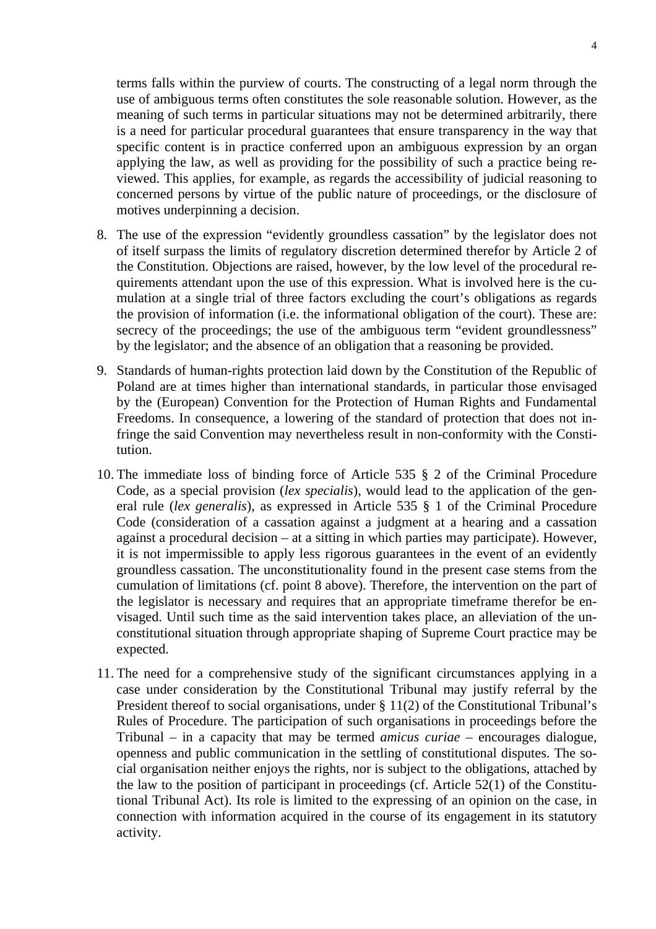terms falls within the purview of courts. The constructing of a legal norm through the use of ambiguous terms often constitutes the sole reasonable solution. However, as the meaning of such terms in particular situations may not be determined arbitrarily, there is a need for particular procedural guarantees that ensure transparency in the way that specific content is in practice conferred upon an ambiguous expression by an organ applying the law, as well as providing for the possibility of such a practice being reviewed. This applies, for example, as regards the accessibility of judicial reasoning to concerned persons by virtue of the public nature of proceedings, or the disclosure of motives underpinning a decision.

- 8. The use of the expression "evidently groundless cassation" by the legislator does not of itself surpass the limits of regulatory discretion determined therefor by Article 2 of the Constitution. Objections are raised, however, by the low level of the procedural requirements attendant upon the use of this expression. What is involved here is the cumulation at a single trial of three factors excluding the court's obligations as regards the provision of information (i.e. the informational obligation of the court). These are: secrecy of the proceedings; the use of the ambiguous term "evident groundlessness" by the legislator; and the absence of an obligation that a reasoning be provided.
- 9. Standards of human-rights protection laid down by the Constitution of the Republic of Poland are at times higher than international standards, in particular those envisaged by the (European) Convention for the Protection of Human Rights and Fundamental Freedoms. In consequence, a lowering of the standard of protection that does not infringe the said Convention may nevertheless result in non-conformity with the Constitution.
- 10. The immediate loss of binding force of Article 535 § 2 of the Criminal Procedure Code, as a special provision (*lex specialis*), would lead to the application of the general rule (*lex generalis*), as expressed in Article 535 § 1 of the Criminal Procedure Code (consideration of a cassation against a judgment at a hearing and a cassation against a procedural decision – at a sitting in which parties may participate). However, it is not impermissible to apply less rigorous guarantees in the event of an evidently groundless cassation. The unconstitutionality found in the present case stems from the cumulation of limitations (cf. point 8 above). Therefore, the intervention on the part of the legislator is necessary and requires that an appropriate timeframe therefor be envisaged. Until such time as the said intervention takes place, an alleviation of the unconstitutional situation through appropriate shaping of Supreme Court practice may be expected.
- 11. The need for a comprehensive study of the significant circumstances applying in a case under consideration by the Constitutional Tribunal may justify referral by the President thereof to social organisations, under § 11(2) of the Constitutional Tribunal's Rules of Procedure. The participation of such organisations in proceedings before the Tribunal – in a capacity that may be termed *amicus curiae –* encourages dialogue, openness and public communication in the settling of constitutional disputes. The social organisation neither enjoys the rights, nor is subject to the obligations, attached by the law to the position of participant in proceedings (cf. Article 52(1) of the Constitutional Tribunal Act). Its role is limited to the expressing of an opinion on the case, in connection with information acquired in the course of its engagement in its statutory activity.